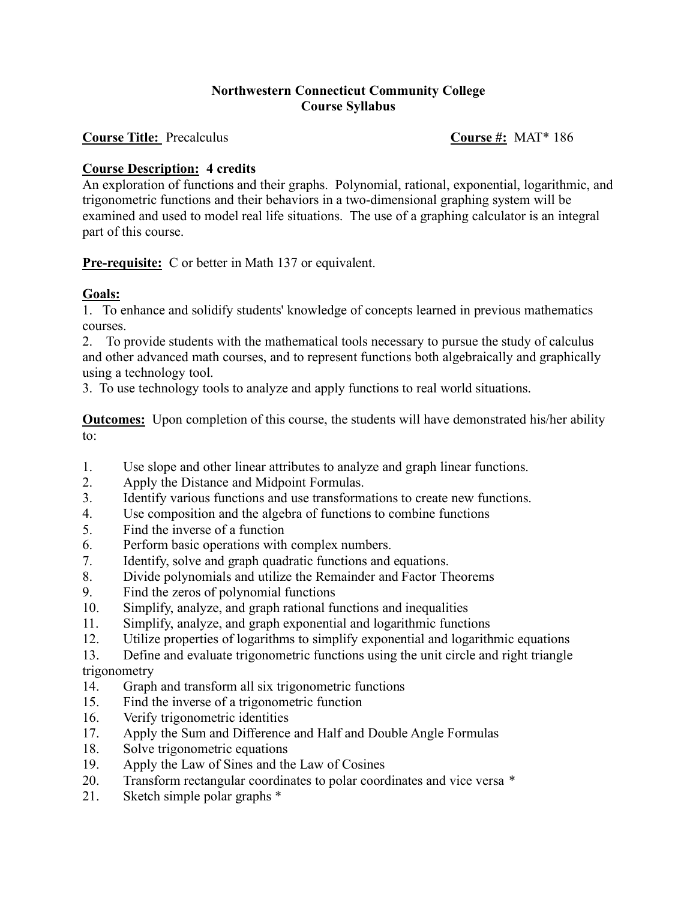## **Northwestern Connecticut Community College Course Syllabus**

**Course Title:** Precalculus **Course #:** MAT\* 186

## **Course Description: 4 credits**

An exploration of functions and their graphs. Polynomial, rational, exponential, logarithmic, and trigonometric functions and their behaviors in a two-dimensional graphing system will be examined and used to model real life situations. The use of a graphing calculator is an integral part of this course.

**Pre-requisite:** C or better in Math 137 or equivalent.

## **Goals:**

1. To enhance and solidify students' knowledge of concepts learned in previous mathematics courses.

2. To provide students with the mathematical tools necessary to pursue the study of calculus and other advanced math courses, and to represent functions both algebraically and graphically using a technology tool.

3. To use technology tools to analyze and apply functions to real world situations.

**Outcomes:** Upon completion of this course, the students will have demonstrated his/her ability to:

- 1. Use slope and other linear attributes to analyze and graph linear functions.
- 2. Apply the Distance and Midpoint Formulas.
- 3. Identify various functions and use transformations to create new functions.
- 4. Use composition and the algebra of functions to combine functions
- 5. Find the inverse of a function
- 6. Perform basic operations with complex numbers.
- 7. Identify, solve and graph quadratic functions and equations.
- 8. Divide polynomials and utilize the Remainder and Factor Theorems
- 9. Find the zeros of polynomial functions
- 10. Simplify, analyze, and graph rational functions and inequalities
- 11. Simplify, analyze, and graph exponential and logarithmic functions
- 12. Utilize properties of logarithms to simplify exponential and logarithmic equations
- 13. Define and evaluate trigonometric functions using the unit circle and right triangle trigonometry
- 14. Graph and transform all six trigonometric functions
- 15. Find the inverse of a trigonometric function
- 16. Verify trigonometric identities
- 17. Apply the Sum and Difference and Half and Double Angle Formulas
- 18. Solve trigonometric equations
- 19. Apply the Law of Sines and the Law of Cosines
- 20. Transform rectangular coordinates to polar coordinates and vice versa *\**
- 21. Sketch simple polar graphs \*